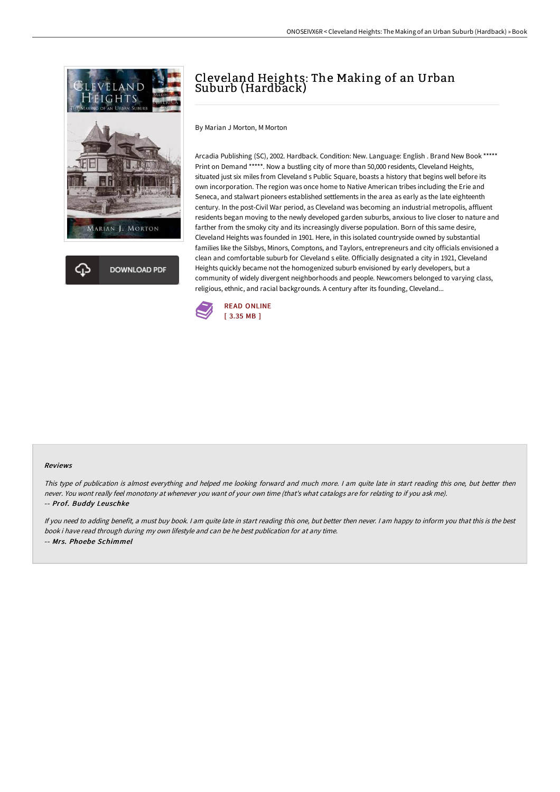



## Cleveland Heights: The Making of an Urban Suburb (Hardback)

By Marian J Morton, M Morton

Arcadia Publishing (SC), 2002. Hardback. Condition: New. Language: English . Brand New Book \*\*\*\*\* Print on Demand \*\*\*\*\*. Now a bustling city of more than 50,000 residents, Cleveland Heights, situated just six miles from Cleveland s Public Square, boasts a history that begins well before its own incorporation. The region was once home to Native American tribes including the Erie and Seneca, and stalwart pioneers established settlements in the area as early as the late eighteenth century. In the post-Civil War period, as Cleveland was becoming an industrial metropolis, affluent residents began moving to the newly developed garden suburbs, anxious to live closer to nature and farther from the smoky city and its increasingly diverse population. Born of this same desire, Cleveland Heights was founded in 1901. Here, in this isolated countryside owned by substantial families like the Silsbys, Minors, Comptons, and Taylors, entrepreneurs and city officials envisioned a clean and comfortable suburb for Cleveland s elite. Officially designated a city in 1921, Cleveland Heights quickly became not the homogenized suburb envisioned by early developers, but a community of widely divergent neighborhoods and people. Newcomers belonged to varying class, religious, ethnic, and racial backgrounds. A century after its founding, Cleveland...



## Reviews

This type of publication is almost everything and helped me looking forward and much more. <sup>I</sup> am quite late in start reading this one, but better then never. You wont really feel monotony at whenever you want of your own time (that's what catalogs are for relating to if you ask me). -- Prof. Buddy Leuschke

If you need to adding benefit, <sup>a</sup> must buy book. <sup>I</sup> am quite late in start reading this one, but better then never. <sup>I</sup> am happy to inform you that this is the best book i have read through during my own lifestyle and can be he best publication for at any time. -- Mrs. Phoebe Schimmel